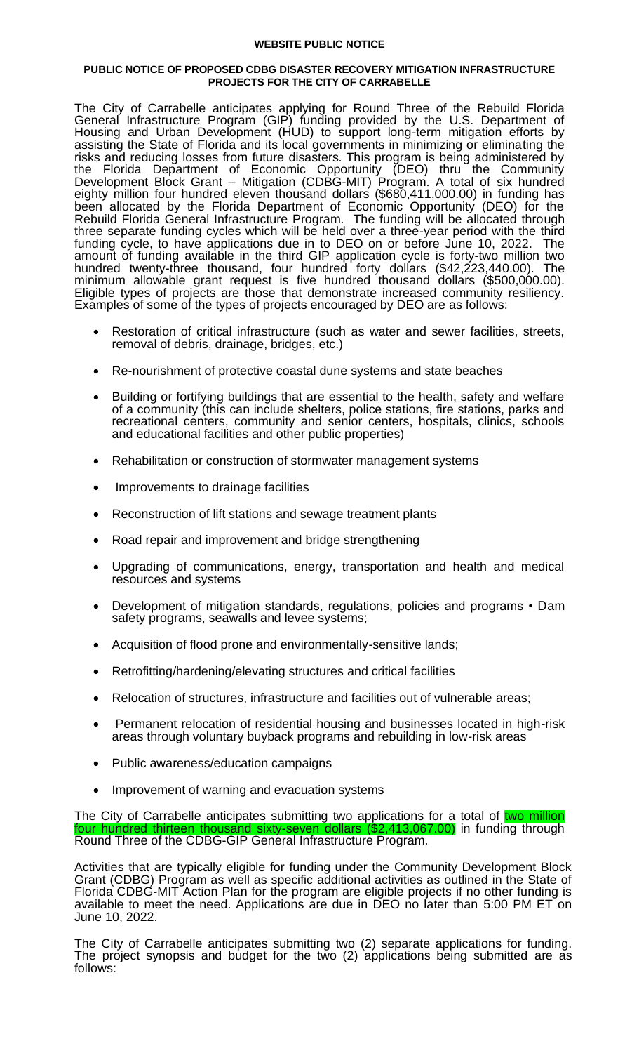## **WEBSITE PUBLIC NOTICE**

## **PUBLIC NOTICE OF PROPOSED CDBG DISASTER RECOVERY MITIGATION INFRASTRUCTURE PROJECTS FOR THE CITY OF CARRABELLE**

The City of Carrabelle anticipates applying for Round Three of the Rebuild Florida General Infrastructure Program (GIP) funding provided by the U.S. Department of Housing and Urban Development (HUD) to support long-term mitigation efforts by assisting the State of Florida and its local governments in minimizing or eliminating the risks and reducing losses from future disasters. This program is being administered by the Florida Department of Economic Opportunity (DEO) thru the Community Development Block Grant – Mitigation (CDBG-MIT) Program. A total of six hundred eighty million four hundred eleven thousand dollars (\$680,411,000.00) in funding has been allocated by the Florida Department of Economic Opportunity (DEO) for the Rebuild Florida General Infrastructure Program. The funding will be allocated through three separate funding cycles which will be held over a three-year period with the third funding cycle, to have applications due in to DEO on or before June 10, 2022. The amount of funding available in the third GIP application cycle is forty-two million two hundred twenty-three thousand, four hundred forty dollars (\$42,223,440.00). The minimum allowable grant request is five hundred thousand dollars (\$500,000.00). Eligible types of projects are those that demonstrate increased community resiliency. Examples of some of the types of projects encouraged by DEO are as follows:

- Restoration of critical infrastructure (such as water and sewer facilities, streets, removal of debris, drainage, bridges, etc.)
- Re-nourishment of protective coastal dune systems and state beaches
- Building or fortifying buildings that are essential to the health, safety and welfare of a community (this can include shelters, police stations, fire stations, parks and recreational centers, community and senior centers, hospitals, clinics, schools and educational facilities and other public properties)
- Rehabilitation or construction of stormwater management systems
- Improvements to drainage facilities
- Reconstruction of lift stations and sewage treatment plants
- Road repair and improvement and bridge strengthening
- Upgrading of communications, energy, transportation and health and medical resources and systems
- Development of mitigation standards, regulations, policies and programs Dam safety programs, seawalls and levee systems;
- Acquisition of flood prone and environmentally-sensitive lands;
- Retrofitting/hardening/elevating structures and critical facilities
- Relocation of structures, infrastructure and facilities out of vulnerable areas;
- Permanent relocation of residential housing and businesses located in high-risk areas through voluntary buyback programs and rebuilding in low-risk areas
- Public awareness/education campaigns
- Improvement of warning and evacuation systems

The City of Carrabelle anticipates submitting two applications for a total of two million four hundred thirteen thousand sixty-seven dollars (\$2,413,067.00) in funding through Round Three of the CDBG-GIP General Infrastructure Program.

Activities that are typically eligible for funding under the Community Development Block Grant (CDBG) Program as well as specific additional activities as outlined in the State of Florida CDBG-MIT Action Plan for the program are eligible projects if no other funding is available to meet the need. Applications are due in DEO no later than 5:00 PM ET on June 10, 2022.

The City of Carrabelle anticipates submitting two (2) separate applications for funding. The project synopsis and budget for the two (2) applications being submitted are as follows: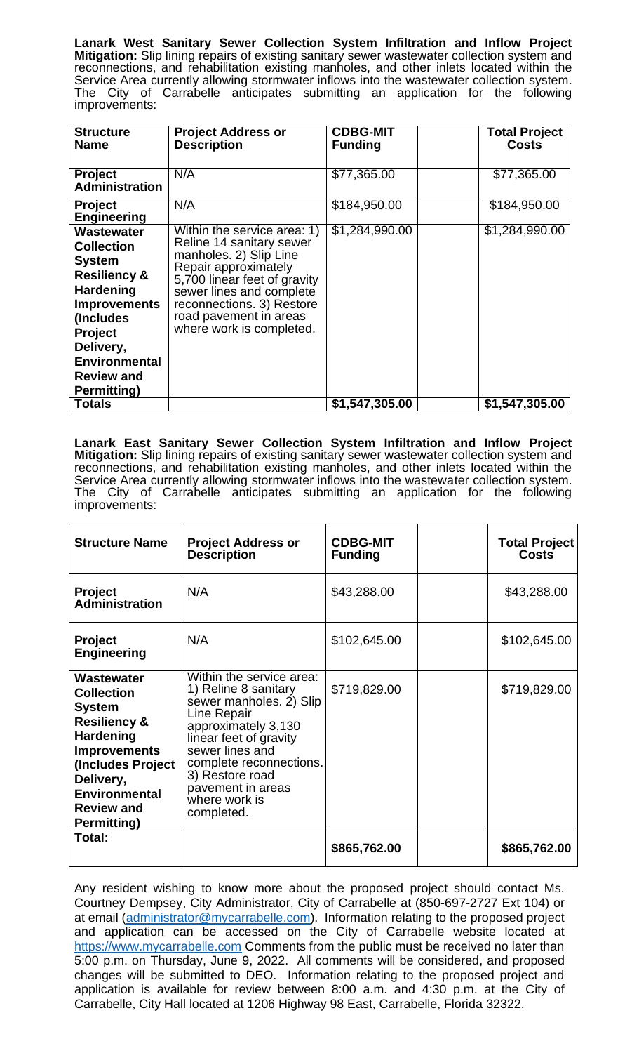**Lanark West Sanitary Sewer Collection System Infiltration and Inflow Project Mitigation:** Slip lining repairs of existing sanitary sewer wastewater collection system and reconnections, and rehabilitation existing manholes, and other inlets located within the Service Area currently allowing stormwater inflows into the wastewater collection system. The City of Carrabelle anticipates submitting an application for the following improvements:

| <b>Structure</b><br><b>Name</b>                                                                                                                                                                                                        | <b>Project Address or</b><br><b>Description</b>                                                                                                                                                                                                          | <b>CDBG-MIT</b><br><b>Funding</b> | <b>Total Project</b><br><b>Costs</b> |
|----------------------------------------------------------------------------------------------------------------------------------------------------------------------------------------------------------------------------------------|----------------------------------------------------------------------------------------------------------------------------------------------------------------------------------------------------------------------------------------------------------|-----------------------------------|--------------------------------------|
| <b>Project</b><br><b>Administration</b>                                                                                                                                                                                                | N/A                                                                                                                                                                                                                                                      | \$77,365.00                       | \$77,365.00                          |
| <b>Project</b><br><b>Engineering</b>                                                                                                                                                                                                   | N/A                                                                                                                                                                                                                                                      | \$184,950.00                      | \$184,950.00                         |
| <b>Wastewater</b><br><b>Collection</b><br><b>System</b><br><b>Resiliency &amp;</b><br><b>Hardening</b><br><b>Improvements</b><br>(Includes)<br><b>Project</b><br>Delivery,<br><b>Environmental</b><br><b>Review and</b><br>Permitting) | Within the service area: 1)<br>Reline 14 sanitary sewer<br>manholes. 2) Slip Line<br>Repair approximately<br>5,700 linear feet of gravity<br>sewer lines and complete<br>reconnections. 3) Restore<br>road pavement in areas<br>where work is completed. | \$1,284,990.00                    | \$1,284,990.00                       |
| <b>Totals</b>                                                                                                                                                                                                                          |                                                                                                                                                                                                                                                          | \$1,547,305.00                    | \$1,547,305.00                       |

**Lanark East Sanitary Sewer Collection System Infiltration and Inflow Project Mitigation:** Slip lining repairs of existing sanitary sewer wastewater collection system and reconnections, and rehabilitation existing manholes, and other inlets located within the Service Area currently allowing stormwater inflows into the wastewater collection system. The City of Carrabelle anticipates submitting an application for the following improvements:

| <b>Structure Name</b>                                                                                                                                                                                                       | <b>Project Address or</b><br><b>Description</b>                                                                                                                                                                                                                  | <b>CDBG-MIT</b><br><b>Funding</b> | <b>Total Project</b><br><b>Costs</b> |
|-----------------------------------------------------------------------------------------------------------------------------------------------------------------------------------------------------------------------------|------------------------------------------------------------------------------------------------------------------------------------------------------------------------------------------------------------------------------------------------------------------|-----------------------------------|--------------------------------------|
| <b>Project</b><br>Administration                                                                                                                                                                                            | N/A                                                                                                                                                                                                                                                              | \$43,288.00                       | \$43,288.00                          |
| <b>Project</b><br><b>Engineering</b>                                                                                                                                                                                        | N/A                                                                                                                                                                                                                                                              | \$102,645.00                      | \$102,645.00                         |
| Wastewater<br><b>Collection</b><br><b>System</b><br><b>Resiliency &amp;</b><br><b>Hardening</b><br><b>Improvements</b><br>(Includes Project<br>Delivery,<br><b>Environmental</b><br><b>Review and</b><br><b>Permitting)</b> | Within the service area:<br>1) Reline 8 sanitary<br>sewer manholes. 2) Slip<br>Line Repair<br>approximately 3,130<br>linear feet of gravity<br>sewer lines and<br>complete reconnections.<br>3) Restore road<br>pavement in areas<br>where work is<br>completed. | \$719,829.00                      | \$719,829.00                         |
| Total:                                                                                                                                                                                                                      |                                                                                                                                                                                                                                                                  | \$865,762.00                      | \$865,762.00                         |

Any resident wishing to know more about the proposed project should contact Ms. Courtney Dempsey, City Administrator, City of Carrabelle at (850-697-2727 Ext 104) or at email [\(administrator@mycarrabelle.com\)](mailto:administrator@mycarrabelle.com). Information relating to the proposed project and application can be accessed on the City of Carrabelle website located at [https://www.mycarrabelle.com](https://www.mycarrabelle.com/) Comments from the public must be received no later than 5:00 p.m. on Thursday, June 9, 2022. All comments will be considered, and proposed changes will be submitted to DEO. Information relating to the proposed project and application is available for review between 8:00 a.m. and 4:30 p.m. at the City of Carrabelle, City Hall located at 1206 Highway 98 East, Carrabelle, Florida 32322.